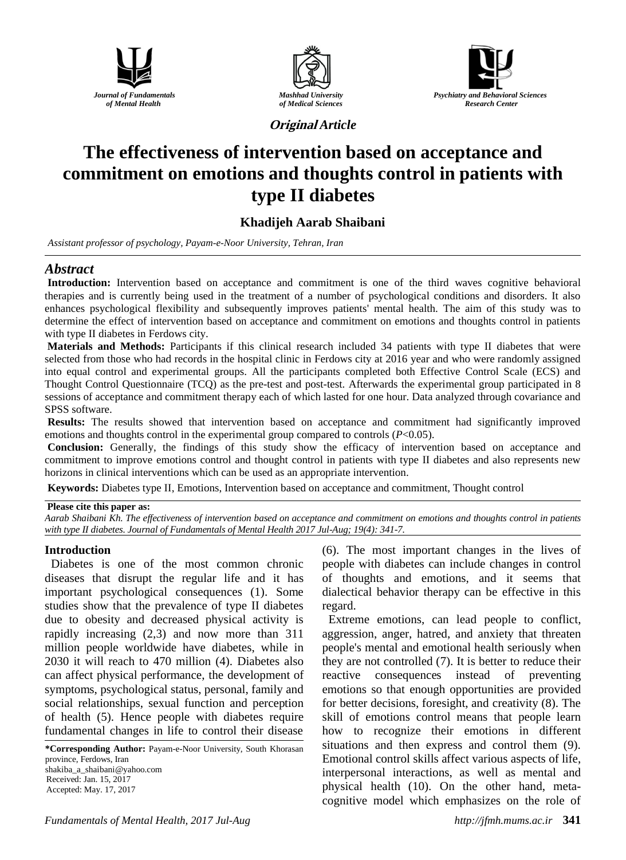





**Original** *Article*

# **The effectiveness of intervention based on acceptance and commitment on emotions and thoughts control in patients with type II diabetes**

# **Khadijeh Aarab Shaibani**

*Assistant professor of psychology, Payam-e-Noor University, Tehran, Iran*

# *Abstract*

**Introduction:** Intervention based on acceptance and commitment is one of the third waves cognitive behavioral therapies and is currently being used in the treatment of a number of psychological conditions and disorders. It also enhances psychological flexibility and subsequently improves patients' mental health. The aim of this study was to determine the effect of intervention based on acceptance and commitment on emotions and thoughts control in patients with type II diabetes in Ferdows city.

**Materials and Methods:** Participants if this clinical research included 34 patients with type II diabetes that were selected from those who had records in the hospital clinic in Ferdows city at 2016 year and who were randomly assigned into equal control and experimental groups. All the participants completed both Effective Control Scale (ECS) and Thought Control Questionnaire (TCQ) as the pre-test and post-test. Afterwards the experimental group participated in 8 sessions of acceptance and commitment therapy each of which lasted for one hour. Data analyzed through covariance and SPSS software.

**Results:** The results showed that intervention based on acceptance and commitment had significantly improved emotions and thoughts control in the experimental group compared to controls (*P*<0.05).

**Conclusion:** Generally, the findings of this study show the efficacy of intervention based on acceptance and commitment to improve emotions control and thought control in patients with type II diabetes and also represents new horizons in clinical interventions which can be used as an appropriate intervention.

**Keywords:** Diabetes type II, Emotions, Intervention based on acceptance and commitment, Thought control

## **Please cite this paper as:**

*Aarab Shaibani Kh. The effectiveness of intervention based on acceptance and commitment on emotions and thoughts control in patients with type II diabetes. Journal of Fundamentals of Mental Health 2017 Jul-Aug; 19(4): 341-7.*

## **Introduction**

Diabetes is one of the most common chronic diseases that disrupt the regular life and it has important psychological consequences (1). Some studies show that the prevalence of type II diabetes due to obesity and decreased physical activity is rapidly increasing (2,3) and now more than 311 million people worldwide have diabetes, while in 2030 it will reach to 470 million (4). Diabetes also can affect physical performance, the development of symptoms, psychological status, personal, family and social relationships, sexual function and perception of health (5). Hence people with diabetes require fundamental changes in life to control their disease

**\*Corresponding Author:** Payam-e-Noor University, South Khorasan province, Ferdows, Iran shakiba\_a\_shaibani@yahoo.com Received: Jan. 15, 2017 Accepted: May. 17, 2017

(6). The most important changes in the lives of people with diabetes can include changes in control of thoughts and emotions, and it seems that dialectical behavior therapy can be effective in this regard.

Extreme emotions, can lead people to conflict, aggression, anger, hatred, and anxiety that threaten people's mental and emotional health seriously when they are not controlled (7). It is better to reduce their reactive consequences instead of preventing emotions so that enough opportunities are provided for better decisions, foresight, and creativity (8). The skill of emotions control means that people learn how to recognize their emotions in different situations and then express and control them (9). Emotional control skills affect various aspects of life, interpersonal interactions, as well as mental and physical health (10). On the other hand, metacognitive model which emphasizes on the role of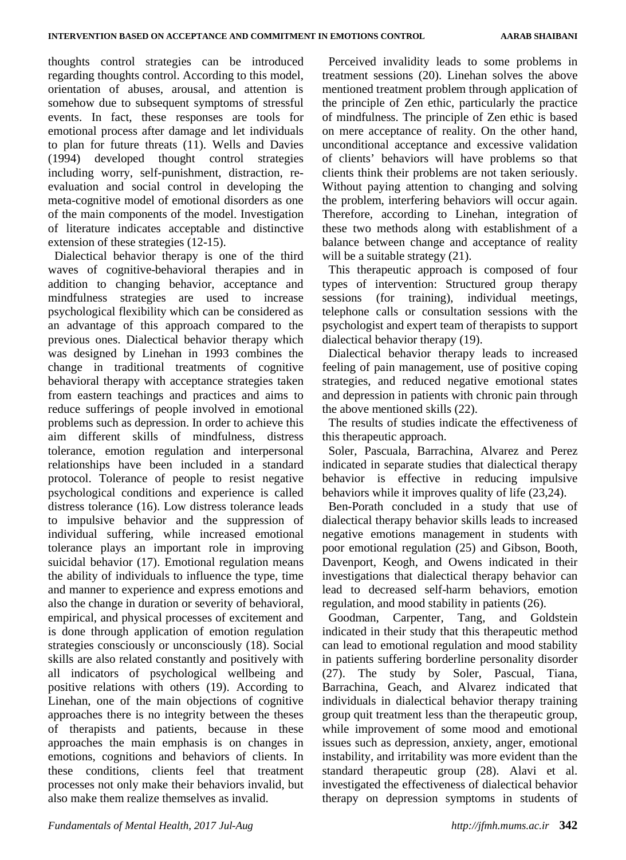thoughts control strategies can be introduced regarding thoughts control. According to this model, orientation of abuses, arousal, and attention is somehow due to subsequent symptoms of stressful events. In fact, these responses are tools for emotional process after damage and let individuals to plan for future threats (11). Wells and Davies (1994) developed thought control strategies including worry, self-punishment, distraction, reevaluation and social control in developing the meta-cognitive model of emotional disorders as one of the main components of the model. Investigation of literature indicates acceptable and distinctive extension of these strategies (12-15).

Dialectical behavior therapy is one of the third waves of cognitive-behavioral therapies and in addition to changing behavior, acceptance and mindfulness strategies are used to increase psychological flexibility which can be considered as an advantage of this approach compared to the previous ones. Dialectical behavior therapy which was designed by Linehan in 1993 combines the change in traditional treatments of cognitive behavioral therapy with acceptance strategies taken from eastern teachings and practices and aims to reduce sufferings of people involved in emotional problems such as depression. In order to achieve this aim different skills of mindfulness, distress tolerance, emotion regulation and interpersonal relationships have been included in a standard protocol. Tolerance of people to resist negative psychological conditions and experience is called distress tolerance (16). Low distress tolerance leads to impulsive behavior and the suppression of individual suffering, while increased emotional tolerance plays an important role in improving suicidal behavior (17). Emotional regulation means the ability of individuals to influence the type, time and manner to experience and express emotions and also the change in duration or severity of behavioral, empirical, and physical processes of excitement and is done through application of emotion regulation strategies consciously or unconsciously (18). Social skills are also related constantly and positively with all indicators of psychological wellbeing and positive relations with others (19). According to Linehan, one of the main objections of cognitive approaches there is no integrity between the theses of therapists and patients, because in these approaches the main emphasis is on changes in emotions, cognitions and behaviors of clients. In these conditions, clients feel that treatment processes not only make their behaviors invalid, but also make them realize themselves as invalid.

Perceived invalidity leads to some problems in treatment sessions (20). Linehan solves the above mentioned treatment problem through application of the principle of Zen ethic, particularly the practice of mindfulness. The principle of Zen ethic is based on mere acceptance of reality. On the other hand, unconditional acceptance and excessive validation of clients' behaviors will have problems so that clients think their problems are not taken seriously. Without paying attention to changing and solving the problem, interfering behaviors will occur again. Therefore, according to Linehan, integration of these two methods along with establishment of a balance between change and acceptance of reality will be a suitable strategy  $(21)$ .

This therapeutic approach is composed of four types of intervention: Structured group therapy sessions (for training), individual meetings, telephone calls or consultation sessions with the psychologist and expert team of therapists to support dialectical behavior therapy (19).

Dialectical behavior therapy leads to increased feeling of pain management, use of positive coping strategies, and reduced negative emotional states and depression in patients with chronic pain through the above mentioned skills (22).

The results of studies indicate the effectiveness of this therapeutic approach.

Soler, Pascuala, Barrachina, Alvarez and Perez indicated in separate studies that dialectical therapy behavior is effective in reducing impulsive behaviors while it improves quality of life (23,24).

Ben-Porath concluded in a study that use of dialectical therapy behavior skills leads to increased negative emotions management in students with poor emotional regulation (25) and Gibson, Booth, Davenport, Keogh, and Owens indicated in their investigations that dialectical therapy behavior can lead to decreased self-harm behaviors, emotion regulation, and mood stability in patients (26).

Goodman, Carpenter, Tang, and Goldstein indicated in their study that this therapeutic method can lead to emotional regulation and mood stability in patients suffering borderline personality disorder (27). The study by Soler, Pascual, Tiana, Barrachina, Geach, and Alvarez indicated that individuals in dialectical behavior therapy training group quit treatment less than the therapeutic group, while improvement of some mood and emotional issues such as depression, anxiety, anger, emotional instability, and irritability was more evident than the standard therapeutic group (28). Alavi et al. investigated the effectiveness of dialectical behavior therapy on depression symptoms in students of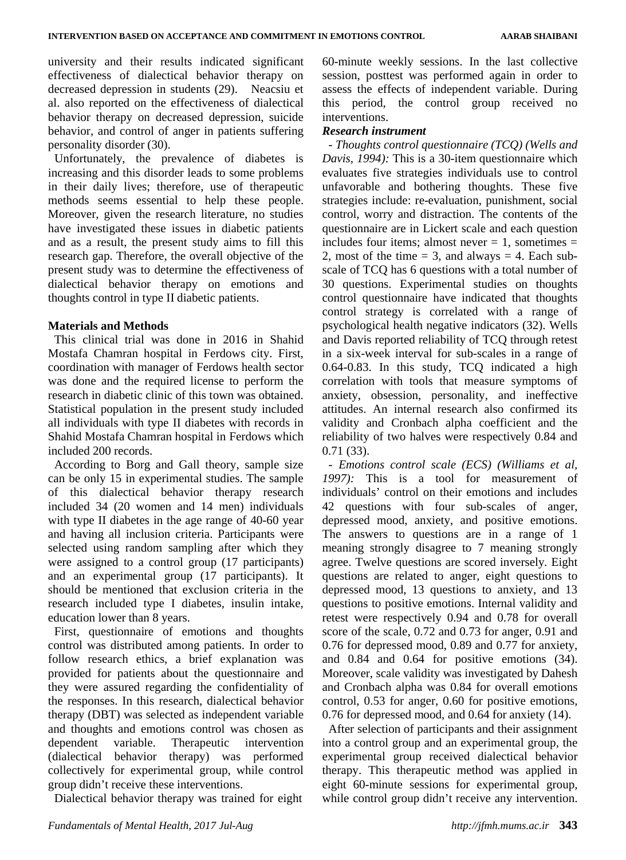university and their results indicated significant effectiveness of dialectical behavior therapy on decreased depression in students (29). Neacsiu et al. also reported on the effectiveness of dialectical behavior therapy on decreased depression, suicide behavior, and control of anger in patients suffering personality disorder (30).

Unfortunately, the prevalence of diabetes is increasing and this disorder leads to some problems in their daily lives; therefore, use of therapeutic methods seems essential to help these people. Moreover, given the research literature, no studies have investigated these issues in diabetic patients and as a result, the present study aims to fill this research gap. Therefore, the overall objective of the present study was to determine the effectiveness of dialectical behavior therapy on emotions and thoughts control in type II diabetic patients.

# **Materials and Methods**

This clinical trial was done in 2016 in Shahid Mostafa Chamran hospital in Ferdows city. First, coordination with manager of Ferdows health sector was done and the required license to perform the research in diabetic clinic of this town was obtained. Statistical population in the present study included all individuals with type II diabetes with records in Shahid Mostafa Chamran hospital in Ferdows which included 200 records.

According to Borg and Gall theory, sample size can be only 15 in experimental studies. The sample of this dialectical behavior therapy research included 34 (20 women and 14 men) individuals with type II diabetes in the age range of 40-60 year and having all inclusion criteria. Participants were selected using random sampling after which they were assigned to a control group (17 participants) and an experimental group (17 participants). It should be mentioned that exclusion criteria in the research included type I diabetes, insulin intake, education lower than 8 years.

First, questionnaire of emotions and thoughts control was distributed among patients. In order to follow research ethics, a brief explanation was provided for patients about the questionnaire and they were assured regarding the confidentiality of the responses. In this research, dialectical behavior therapy (DBT) was selected as independent variable and thoughts and emotions control was chosen as dependent variable. Therapeutic intervention (dialectical behavior therapy) was performed collectively for experimental group, while control group didn't receive these interventions.

Dialectical behavior therapy was trained for eight

60-minute weekly sessions. In the last collective session, posttest was performed again in order to assess the effects of independent variable. During this period, the control group received no interventions.

# *Research instrument*

*- Thoughts control questionnaire (TCQ) (Wells and Davis, 1994):* This is a 30-item questionnaire which evaluates five strategies individuals use to control unfavorable and bothering thoughts. These five strategies include: re-evaluation, punishment, social control, worry and distraction. The contents of the questionnaire are in Lickert scale and each question includes four items; almost never  $= 1$ , sometimes  $=$ 2, most of the time  $= 3$ , and always  $= 4$ . Each subscale of TCQ has 6 questions with a total number of 30 questions. Experimental studies on thoughts control questionnaire have indicated that thoughts control strategy is correlated with a range of psychological health negative indicators (32). Wells and Davis reported reliability of TCQ through retest in a six-week interval for sub-scales in a range of 0.64-0.83. In this study, TCQ indicated a high correlation with tools that measure symptoms of anxiety, obsession, personality, and ineffective attitudes. An internal research also confirmed its validity and Cronbach alpha coefficient and the reliability of two halves were respectively 0.84 and 0.71 (33).

*- Emotions control scale (ECS) (Williams et al, 1997):* This is a tool for measurement of individuals' control on their emotions and includes 42 questions with four sub-scales of anger, depressed mood, anxiety, and positive emotions. The answers to questions are in a range of 1 meaning strongly disagree to 7 meaning strongly agree. Twelve questions are scored inversely. Eight questions are related to anger, eight questions to depressed mood, 13 questions to anxiety, and 13 questions to positive emotions. Internal validity and retest were respectively 0.94 and 0.78 for overall score of the scale, 0.72 and 0.73 for anger, 0.91 and 0.76 for depressed mood, 0.89 and 0.77 for anxiety, and 0.84 and 0.64 for positive emotions (34). Moreover, scale validity was investigated by Dahesh and Cronbach alpha was 0.84 for overall emotions control, 0.53 for anger, 0.60 for positive emotions, 0.76 for depressed mood, and 0.64 for anxiety (14).

After selection of participants and their assignment into a control group and an experimental group, the experimental group received dialectical behavior therapy. This therapeutic method was applied in eight 60-minute sessions for experimental group, while control group didn't receive any intervention.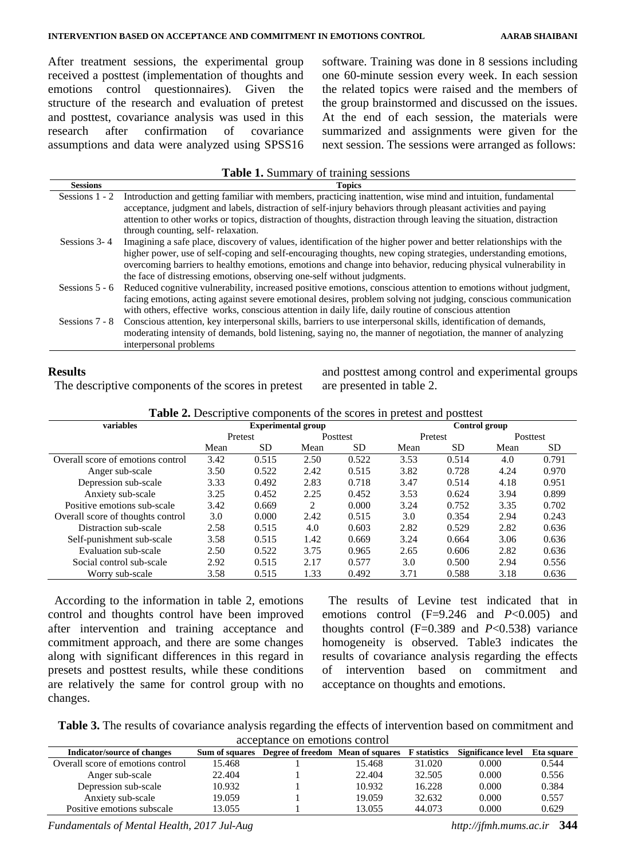After treatment sessions, the experimental group received a posttest (implementation of thoughts and emotions control questionnaires). Given the structure of the research and evaluation of pretest and posttest, covariance analysis was used in this research after confirmation of covariance assumptions and data were analyzed using SPSS16 software. Training was done in 8 sessions including one 60-minute session every week. In each session the related topics were raised and the members of the group brainstormed and discussed on the issues. At the end of each session, the materials were summarized and assignments were given for the next session. The sessions were arranged as follows:

#### **Table 1.** Summary of training sessions

| <b>Sessions</b>  | <b>Topics</b>                                                                                                       |
|------------------|---------------------------------------------------------------------------------------------------------------------|
| Sessions $1 - 2$ | Introduction and getting familiar with members, practicing inattention, wise mind and intuition, fundamental        |
|                  | acceptance, judgment and labels, distraction of self-injury behaviors through pleasant activities and paying        |
|                  | attention to other works or topics, distraction of thoughts, distraction through leaving the situation, distraction |
|                  | through counting, self-relaxation.                                                                                  |
| Sessions 3-4     | Imagining a safe place, discovery of values, identification of the higher power and better relationships with the   |
|                  | higher power, use of self-coping and self-encouraging thoughts, new coping strategies, understanding emotions,      |
|                  | overcoming barriers to healthy emotions, emotions and change into behavior, reducing physical vulnerability in      |
|                  | the face of distressing emotions, observing one-self without judgments.                                             |
| Sessions $5 - 6$ | Reduced cognitive vulnerability, increased positive emotions, conscious attention to emotions without judgment,     |
|                  | facing emotions, acting against severe emotional desires, problem solving not judging, conscious communication      |
|                  | with others, effective works, conscious attention in daily life, daily routine of conscious attention               |
| Sessions 7 - 8   | Conscious attention, key interpersonal skills, barriers to use interpersonal skills, identification of demands,     |
|                  | moderating intensity of demands, bold listening, saying no, the manner of negotiation, the manner of analyzing      |
|                  | interpersonal problems                                                                                              |
|                  |                                                                                                                     |

## **Results**

The descriptive components of the scores in pretest

and posttest among control and experimental groups are presented in table 2.

**Table 2.** Descriptive components of the scores in pretest and posttest

| variables                         | <b>Experimental group</b> |           |          |           |         | Control group |                 |           |  |
|-----------------------------------|---------------------------|-----------|----------|-----------|---------|---------------|-----------------|-----------|--|
|                                   | Pretest                   |           | Posttest |           | Pretest |               | <b>Posttest</b> |           |  |
|                                   | Mean                      | <b>SD</b> | Mean     | <b>SD</b> | Mean    | SD.           | Mean            | <b>SD</b> |  |
| Overall score of emotions control | 3.42                      | 0.515     | 2.50     | 0.522     | 3.53    | 0.514         | 4.0             | 0.791     |  |
| Anger sub-scale                   | 3.50                      | 0.522     | 2.42     | 0.515     | 3.82    | 0.728         | 4.24            | 0.970     |  |
| Depression sub-scale              | 3.33                      | 0.492     | 2.83     | 0.718     | 3.47    | 0.514         | 4.18            | 0.951     |  |
| Anxiety sub-scale                 | 3.25                      | 0.452     | 2.25     | 0.452     | 3.53    | 0.624         | 3.94            | 0.899     |  |
| Positive emotions sub-scale       | 3.42                      | 0.669     | 2        | 0.000     | 3.24    | 0.752         | 3.35            | 0.702     |  |
| Overall score of thoughts control | 3.0                       | 0.000     | 2.42     | 0.515     | 3.0     | 0.354         | 2.94            | 0.243     |  |
| Distraction sub-scale             | 2.58                      | 0.515     | 4.0      | 0.603     | 2.82    | 0.529         | 2.82            | 0.636     |  |
| Self-punishment sub-scale         | 3.58                      | 0.515     | 1.42     | 0.669     | 3.24    | 0.664         | 3.06            | 0.636     |  |
| Evaluation sub-scale              | 2.50                      | 0.522     | 3.75     | 0.965     | 2.65    | 0.606         | 2.82            | 0.636     |  |
| Social control sub-scale          | 2.92                      | 0.515     | 2.17     | 0.577     | 3.0     | 0.500         | 2.94            | 0.556     |  |
| Worry sub-scale                   | 3.58                      | 0.515     | 1.33     | 0.492     | 3.71    | 0.588         | 3.18            | 0.636     |  |

According to the information in table 2, emotions control and thoughts control have been improved after intervention and training acceptance and commitment approach, and there are some changes along with significant differences in this regard in presets and posttest results, while these conditions are relatively the same for control group with no changes.

The results of Levine test indicated that in emotions control (F=9.246 and *P*<0.005) and thoughts control  $(F=0.389$  and  $P<0.538$ ) variance homogeneity is observed. Table3 indicates the results of covariance analysis regarding the effects of intervention based on commitment and acceptance on thoughts and emotions.

**Table 3.** The results of covariance analysis regarding the effects of intervention based on commitment and acceptance on emotions control

| Indicator/source of changes       |        | Sum of squares Degree of freedom Mean of squares F statistics |        |        | Significance level | Eta square |
|-----------------------------------|--------|---------------------------------------------------------------|--------|--------|--------------------|------------|
| Overall score of emotions control | 15.468 |                                                               | 15.468 | 31.020 | 0.000              | 0.544      |
| Anger sub-scale                   | 22.404 |                                                               | 22.404 | 32.505 | 0.000              | 0.556      |
| Depression sub-scale              | 10.932 |                                                               | 10.932 | 16.228 | 0.000              | 0.384      |
| Anxiety sub-scale                 | 19.059 |                                                               | 19.059 | 32.632 | 0.000              | 0.557      |
| Positive emotions subscale        | 13.055 |                                                               | 13.055 | 44.073 | 0.000              | 0.629      |

*Fundamentals of Mental Health, 2017 Jul-Aug http://jfmh.mums.ac.ir* **344**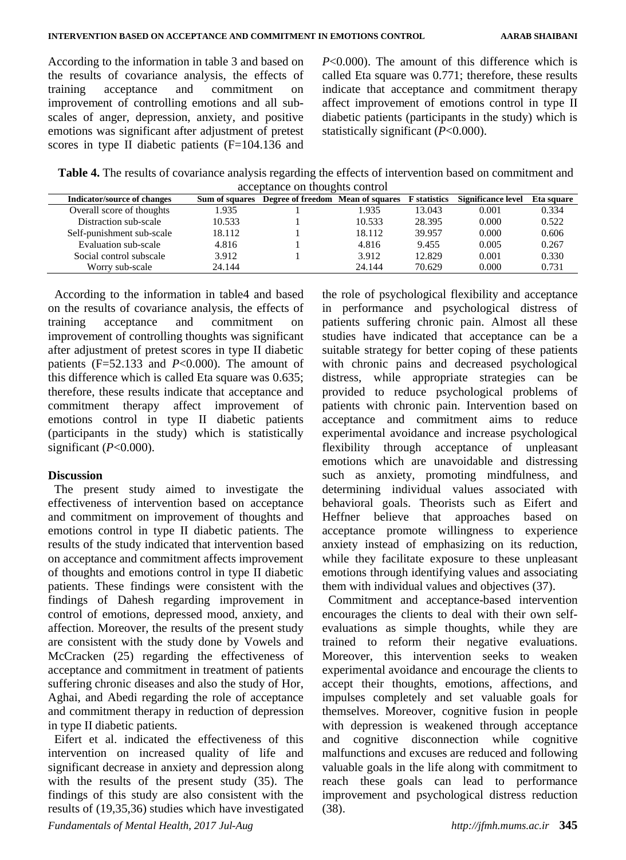According to the information in table 3 and based on the results of covariance analysis, the effects of training acceptance and commitment on improvement of controlling emotions and all subscales of anger, depression, anxiety, and positive emotions was significant after adjustment of pretest scores in type II diabetic patients (F=104.136 and *P*<0.000). The amount of this difference which is called Eta square was 0.771; therefore, these results indicate that acceptance and commitment therapy affect improvement of emotions control in type II diabetic patients (participants in the study) which is statistically significant (*P*<0.000).

**Table 4.** The results of covariance analysis regarding the effects of intervention based on commitment and acceptance on thoughts control

| Indicator/source of changes | Sum of squares | Degree of freedom Mean of squares |        | <b>F</b> statistics | Significance level | Eta square |
|-----------------------------|----------------|-----------------------------------|--------|---------------------|--------------------|------------|
| Overall score of thoughts   | 1.935          |                                   | 1.935  | 13.043              | 0.001              | 0.334      |
| Distraction sub-scale       | 10.533         |                                   | 10.533 | 28.395              | 0.000              | 0.522      |
| Self-punishment sub-scale   | 18.112         |                                   | 18.112 | 39.957              | 0.000              | 0.606      |
| Evaluation sub-scale        | 4.816          |                                   | 4.816  | 9.455               | 0.005              | 0.267      |
| Social control subscale     | 3.912          |                                   | 3.912  | 12.829              | 0.001              | 0.330      |
| Worry sub-scale             | 24.144         |                                   | 24.144 | 70.629              | 0.000              | 0.731      |

According to the information in table4 and based on the results of covariance analysis, the effects of training acceptance and commitment on improvement of controlling thoughts was significant after adjustment of pretest scores in type II diabetic patients  $(F=52.133$  and  $P<0.000$ ). The amount of this difference which is called Eta square was 0.635; therefore, these results indicate that acceptance and commitment therapy affect improvement of emotions control in type II diabetic patients (participants in the study) which is statistically significant (*P*<0.000).

# **Discussion**

The present study aimed to investigate the effectiveness of intervention based on acceptance and commitment on improvement of thoughts and emotions control in type II diabetic patients. The results of the study indicated that intervention based on acceptance and commitment affects improvement of thoughts and emotions control in type II diabetic patients. These findings were consistent with the findings of Dahesh regarding improvement in control of emotions, depressed mood, anxiety, and affection. Moreover, the results of the present study are consistent with the study done by Vowels and McCracken (25) regarding the effectiveness of acceptance and commitment in treatment of patients suffering chronic diseases and also the study of Hor, Aghai, and Abedi regarding the role of acceptance and commitment therapy in reduction of depression in type II diabetic patients.

Eifert et al. indicated the effectiveness of this intervention on increased quality of life and significant decrease in anxiety and depression along with the results of the present study (35). The findings of this study are also consistent with the results of (19,35,36) studies which have investigated

the role of psychological flexibility and acceptance in performance and psychological distress of patients suffering chronic pain. Almost all these studies have indicated that acceptance can be a suitable strategy for better coping of these patients with chronic pains and decreased psychological distress, while appropriate strategies can be provided to reduce psychological problems of patients with chronic pain. Intervention based on acceptance and commitment aims to reduce experimental avoidance and increase psychological flexibility through acceptance of unpleasant emotions which are unavoidable and distressing such as anxiety, promoting mindfulness, and determining individual values associated with behavioral goals. Theorists such as Eifert and Heffner believe that approaches based on acceptance promote willingness to experience anxiety instead of emphasizing on its reduction, while they facilitate exposure to these unpleasant emotions through identifying values and associating them with individual values and objectives (37).

Commitment and acceptance-based intervention encourages the clients to deal with their own selfevaluations as simple thoughts, while they are trained to reform their negative evaluations. Moreover, this intervention seeks to weaken experimental avoidance and encourage the clients to accept their thoughts, emotions, affections, and impulses completely and set valuable goals for themselves. Moreover, cognitive fusion in people with depression is weakened through acceptance and cognitive disconnection while cognitive malfunctions and excuses are reduced and following valuable goals in the life along with commitment to reach these goals can lead to performance improvement and psychological distress reduction (38).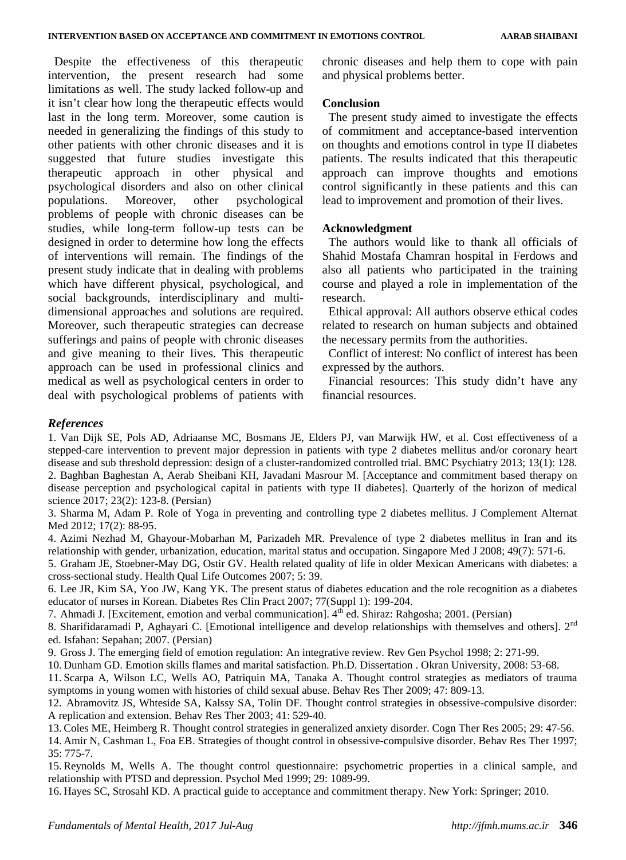Despite the effectiveness of this therapeutic intervention, the present research had some limitations as well. The study lacked follow-up and it isn't clear how long the therapeutic effects would last in the long term. Moreover, some caution is needed in generalizing the findings of this study to other patients with other chronic diseases and it is suggested that future studies investigate this therapeutic approach in other physical and psychological disorders and also on other clinical populations. Moreover, other psychological problems of people with chronic diseases can be studies, while long-term follow-up tests can be designed in order to determine how long the effects of interventions will remain. The findings of the present study indicate that in dealing with problems which have different physical, psychological, and social backgrounds, interdisciplinary and multidimensional approaches and solutions are required. Moreover, such therapeutic strategies can decrease sufferings and pains of people with chronic diseases and give meaning to their lives. This therapeutic approach can be used in professional clinics and medical as well as psychological centers in order to deal with psychological problems of patients with chronic diseases and help them to cope with pain and physical problems better.

#### **Conclusion**

The present study aimed to investigate the effects of commitment and acceptance-based intervention on thoughts and emotions control in type II diabetes patients. The results indicated that this therapeutic approach can improve thoughts and emotions control significantly in these patients and this can lead to improvement and promotion of their lives.

#### **Acknowledgment**

The authors would like to thank all officials of Shahid Mostafa Chamran hospital in Ferdows and also all patients who participated in the training course and played a role in implementation of the research.

Ethical approval: All authors observe ethical codes related to research on human subjects and obtained the necessary permits from the authorities.

Conflict of interest: No conflict of interest has been expressed by the authors.

Financial resources: This study didn't have any financial resources.

# *References*

1. Van Dijk SE, Pols AD, Adriaanse MC, Bosmans JE, Elders PJ, van Marwijk HW, et al. Cost effectiveness of a stepped-care intervention to prevent major depression in patients with type 2 diabetes mellitus and/or coronary heart disease and sub threshold depression: design of a cluster-randomized controlled trial. BMC Psychiatry 2013; 13(1): 128. 2. Baghban Baghestan A, Aerab Sheibani KH, Javadani Masrour M. [Acceptance and commitment based therapy on disease perception and psychological capital in patients with type II diabetes]. Quarterly of the horizon of medical science 2017; 23(2): 123-8. (Persian)

3. Sharma M, Adam P. Role of Yoga in preventing and controlling type 2 diabetes mellitus. J Complement Alternat Med 2012; 17(2): 88-95.

4. Azimi Nezhad M, Ghayour-Mobarhan M, Parizadeh MR. Prevalence of type 2 diabetes mellitus in Iran and its relationship with gender, urbanization, education, marital status and occupation. Singapore Med J 2008; 49(7): 571-6.

5. Graham JE, Stoebner-May DG, Ostir GV. Health related quality of life in older Mexican Americans with diabetes: a cross-sectional study. Health Qual Life Outcomes 2007; 5: 39.

6. Lee JR, Kim SA, Yoo JW, Kang YK. The present status of diabetes education and the role recognition as a diabetes educator of nurses in Korean. Diabetes Res Clin Pract 2007; 77(Suppl 1): 199-204.

7. Ahmadi J. [Excitement, emotion and verbal communication].  $4<sup>th</sup>$  ed. Shiraz: Rahgosha; 2001. (Persian)

8. Sharifidaramadi P, Aghayari C. [Emotional intelligence and develop relationships with themselves and others]. 2<sup>nd</sup> ed. Isfahan: Sepahan; 2007. (Persian)

9. Gross J. The emerging field of emotion regulation: An integrative review*.* Rev Gen Psychol 1998; 2: 271-99.

10. Dunham GD. Emotion skills flames and marital satisfaction. Ph.D. Dissertation . Okran University, 2008: 53-68.

11. Scarpa A, Wilson LC, Wells AO, Patriquin MA, Tanaka A. Thought control strategies as mediators of trauma symptoms in young women with histories of child sexual abuse. Behav Res Ther 2009; 47: 809-13.

12. Abramovitz JS, Whteside SA, Kalssy SA, Tolin DF. Thought control strategies in obsessive-compulsive disorder: A replication and extension. Behav Res Ther 2003; 41: 529-40.

13. Coles ME, Heimberg R. Thought control strategies in generalized anxiety disorder. Cogn Ther Res 2005; 29: 47-56.

14. Amir N, Cashman L, Foa EB. Strategies of thought control in obsessive-compulsive disorder. Behav Res Ther 1997; 35: 775-7.

15. Reynolds M, Wells A. The thought control questionnaire: psychometric properties in a clinical sample, and relationship with PTSD and depression. Psychol Med 1999; 29: 1089-99.

16. Hayes SC, Strosahl KD. A practical guide to acceptance and commitment therapy. New York: Springer; 2010.